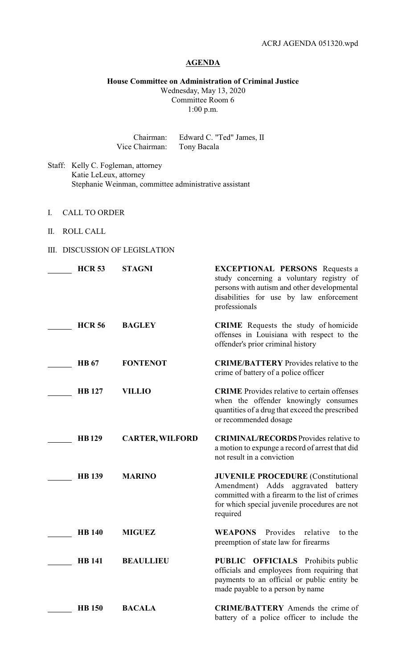# **AGENDA**

### **House Committee on Administration of Criminal Justice** Wednesday, May 13, 2020 Committee Room 6

1:00 p.m.

Chairman: Edward C. "Ted" James, II<br>Chairman: Tony Bacala Vice Chairman:

- Staff: Kelly C. Fogleman, attorney Katie LeLeux, attorney Stephanie Weinman, committee administrative assistant
- I. CALL TO ORDER
- II. ROLL CALL
- III. DISCUSSION OF LEGISLATION

| <b>HCR 53</b> | <b>STAGNI</b>          | <b>EXCEPTIONAL PERSONS</b> Requests a<br>study concerning a voluntary registry of<br>persons with autism and other developmental<br>disabilities for use by law enforcement<br>professionals            |
|---------------|------------------------|---------------------------------------------------------------------------------------------------------------------------------------------------------------------------------------------------------|
| <b>HCR 56</b> | <b>BAGLEY</b>          | <b>CRIME</b> Requests the study of homicide<br>offenses in Louisiana with respect to the<br>offender's prior criminal history                                                                           |
| <b>HB</b> 67  | <b>FONTENOT</b>        | <b>CRIME/BATTERY</b> Provides relative to the<br>crime of battery of a police officer                                                                                                                   |
| <b>HB</b> 127 | <b>VILLIO</b>          | <b>CRIME</b> Provides relative to certain offenses<br>when the offender knowingly consumes<br>quantities of a drug that exceed the prescribed<br>or recommended dosage                                  |
| <b>HB129</b>  | <b>CARTER, WILFORD</b> | <b>CRIMINAL/RECORDS</b> Provides relative to<br>a motion to expunge a record of arrest that did<br>not result in a conviction                                                                           |
| <b>HB</b> 139 | <b>MARINO</b>          | <b>JUVENILE PROCEDURE</b> (Constitutional<br>Adds<br>aggravated<br>Amendment)<br>battery<br>committed with a firearm to the list of crimes<br>for which special juvenile procedures are not<br>required |
| <b>HB</b> 140 | <b>MIGUEZ</b>          | <b>WEAPONS</b><br>Provides<br>relative<br>to the<br>preemption of state law for firearms                                                                                                                |
| <b>HB</b> 141 | <b>BEAULLIEU</b>       | <b>PUBLIC OFFICIALS</b> Prohibits public<br>officials and employees from requiring that<br>payments to an official or public entity be<br>made payable to a person by name                              |
| <b>HB</b> 150 | <b>BACALA</b>          | <b>CRIME/BATTERY</b> Amends the crime of<br>battery of a police officer to include the                                                                                                                  |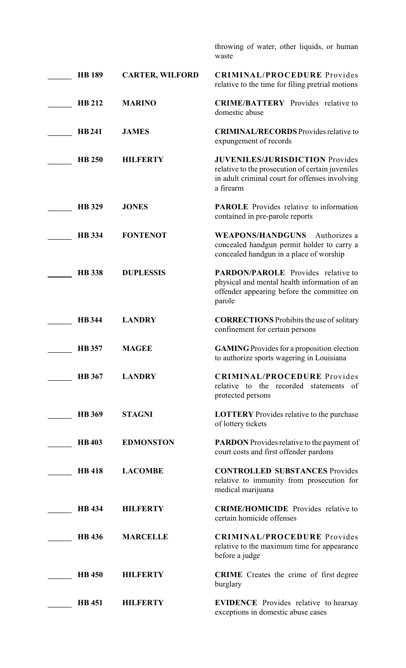|               |                        | throwing of water, other liquids, or human<br>waste                                                                                                       |
|---------------|------------------------|-----------------------------------------------------------------------------------------------------------------------------------------------------------|
| <b>HB</b> 189 | <b>CARTER, WILFORD</b> | <b>CRIMINAL/PROCEDURE</b> Provides<br>relative to the time for filing pretrial motions                                                                    |
| <b>HB 212</b> | <b>MARINO</b>          | <b>CRIME/BATTERY</b> Provides relative to<br>domestic abuse                                                                                               |
| <b>HB241</b>  | <b>JAMES</b>           | <b>CRIMINAL/RECORDS</b> Provides relative to<br>expungement of records                                                                                    |
| <b>HB 250</b> | <b>HILFERTY</b>        | <b>JUVENILES/JURISDICTION Provides</b><br>relative to the prosecution of certain juveniles<br>in adult criminal court for offenses involving<br>a firearm |
| <b>HB</b> 329 | <b>JONES</b>           | <b>PAROLE</b> Provides relative to information<br>contained in pre-parole reports                                                                         |
| <b>HB</b> 334 | <b>FONTENOT</b>        | <b>WEAPONS/HANDGUNS</b><br>Authorizes a<br>concealed handgun permit holder to carry a<br>concealed handgun in a place of worship                          |
| <b>HB</b> 338 | <b>DUPLESSIS</b>       | <b>PARDON/PAROLE</b> Provides relative to<br>physical and mental health information of an<br>offender appearing before the committee on<br>parole         |
| <b>HB</b> 344 | <b>LANDRY</b>          | <b>CORRECTIONS</b> Prohibits the use of solitary<br>confinement for certain persons                                                                       |
| <b>HB</b> 357 | <b>MAGEE</b>           | <b>GAMING</b> Provides for a proposition election<br>to authorize sports wagering in Louisiana                                                            |
| <b>HB</b> 367 | <b>LANDRY</b>          | <b>CRIMINAL/PROCEDURE</b> Provides<br>relative to the recorded statements<br>- of<br>protected persons                                                    |
| <b>HB</b> 369 | <b>STAGNI</b>          | <b>LOTTERY</b> Provides relative to the purchase<br>of lottery tickets                                                                                    |
| <b>HB403</b>  | <b>EDMONSTON</b>       | <b>PARDON</b> Provides relative to the payment of<br>court costs and first offender pardons                                                               |
| <b>HB</b> 418 | <b>LACOMBE</b>         | <b>CONTROLLED SUBSTANCES Provides</b><br>relative to immunity from prosecution for<br>medical marijuana                                                   |
| <b>HB</b> 434 | <b>HILFERTY</b>        | <b>CRIME/HOMICIDE</b> Provides relative to<br>certain homicide offenses                                                                                   |
| <b>HB</b> 436 | <b>MARCELLE</b>        | <b>CRIMINAL/PROCEDURE</b> Provides<br>relative to the maximum time for appearance<br>before a judge                                                       |
| <b>HB</b> 450 | <b>HILFERTY</b>        | <b>CRIME</b> Creates the crime of first degree<br>burglary                                                                                                |
| <b>HB</b> 451 | <b>HILFERTY</b>        | <b>EVIDENCE</b> Provides relative to hearsay<br>exceptions in domestic abuse cases                                                                        |